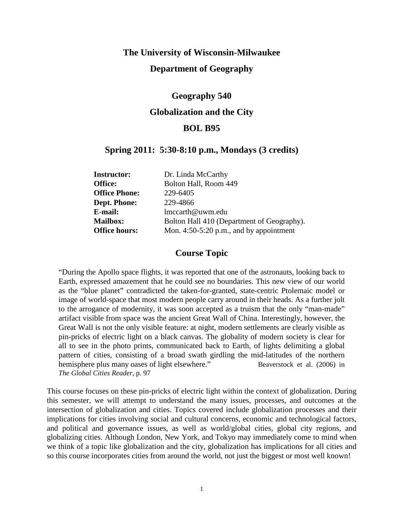# **The University of Wisconsin-Milwaukee Department of Geography**

# **Geography 540 Globalization and the City BOL B95**

# **Spring 2011: 5:30-8:10 p.m., Mondays (3 credits)**

| <b>Instructor:</b>   | Dr. Linda McCarthy                         |
|----------------------|--------------------------------------------|
| Office:              | Bolton Hall, Room 449                      |
| <b>Office Phone:</b> | 229-6405                                   |
| Dept. Phone:         | 229-4866                                   |
| E-mail:              | lmccarth@uwm.edu                           |
| <b>Mailbox:</b>      | Bolton Hall 410 (Department of Geography). |
| <b>Office hours:</b> | Mon. $4:50-5:20$ p.m., and by appointment  |

# **Course Topic**

"During the Apollo space flights, it was reported that one of the astronauts, looking back to Earth, expressed amazement that he could see no boundaries. This new view of our world as the "blue planet" contradicted the taken-for-granted, state-centric Ptolemaic model or image of world-space that most modern people carry around in their heads. As a further jolt to the arrogance of modernity, it was soon accepted as a truism that the only "man-made" artifact visible from space was the ancient Great Wall of China. Interestingly, however, the Great Wall is not the only visible feature: at night, modern settlements are clearly visible as pin-pricks of electric light on a black canvas. The globality of modern society is clear for all to see in the photo prints, communicated back to Earth, of lights delimiting a global pattern of cities, consisting of a broad swath girdling the mid-latitudes of the northern hemisphere plus many oases of light elsewhere." Beaverstock et al. (2006) in *The Global Cities Reader*, p. 97

This course focuses on these pin-pricks of electric light within the context of globalization. During this semester, we will attempt to understand the many issues, processes, and outcomes at the intersection of globalization and cities. Topics covered include globalization processes and their implications for cities involving social and cultural concerns, economic and technological factors, and political and governance issues, as well as world/global cities, global city regions, and globalizing cities. Although London, New York, and Tokyo may immediately come to mind when we think of a topic like globalization and the city, globalization has implications for all cities and so this course incorporates cities from around the world, not just the biggest or most well known!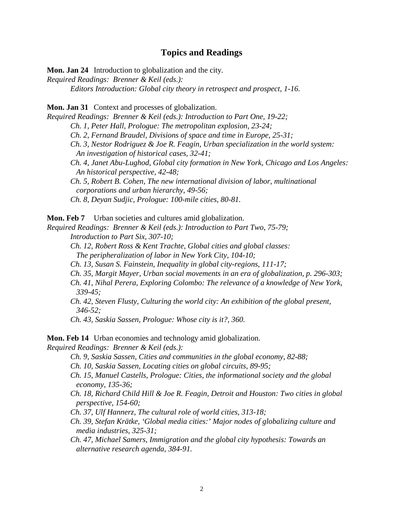## **Topics and Readings**

**Mon. Jan 24** Introduction to globalization and the city.

*Required Readings: Brenner & Keil (eds.):*

*Editors Introduction: Global city theory in retrospect and prospect, 1-16.*

**Mon. Jan 31** Context and processes of globalization.

*Required Readings: Brenner & Keil (eds.): Introduction to Part One, 19-22; Ch. 1, Peter Hall, Prologue: The metropolitan explosion, 23-24; Ch. 2, Fernand Braudel, Divisions of space and time in Europe, 25-31; Ch. 3, Nestor Rodriguez & Joe R. Feagin, Urban specialization in the world system: An investigation of historical cases, 32-41; Ch. 4, Janet Abu-Lughod, Global city formation in New York, Chicago and Los Angeles: An historical perspective, 42-48; Ch. 5, Robert B. Cohen, The new international division of labor, multinational corporations and urban hierarchy, 49-56; Ch. 8, Deyan Sudjic, Prologue: 100-mile cities, 80-81.*

**Mon. Feb 7** Urban societies and cultures amid globalization.

*Required Readings: Brenner & Keil (eds.): Introduction to Part Two, 75-79; Introduction to Part Six, 307-10;*

*Ch. 12, Robert Ross & Kent Trachte, Global cities and global classes:*

 *The peripheralization of labor in New York City, 104-10;*

*Ch. 13, Susan S. Fainstein, Inequality in global city-regions, 111-17;*

*Ch. 35, Margit Mayer, Urban social movements in an era of globalization, p. 296-303;*

*Ch. 41, Nihal Perera, Exploring Colombo: The relevance of a knowledge of New York, 339-45;*

*Ch. 42, Steven Flusty, Culturing the world city: An exhibition of the global present, 346-52;*

*Ch. 43, Saskia Sassen, Prologue: Whose city is it?, 360.*

**Mon. Feb 14** Urban economies and technology amid globalization.

*Required Readings: Brenner & Keil (eds.):*

- *Ch. 9, Saskia Sassen, Cities and communities in the global economy, 82-88;*
- *Ch. 10, Saskia Sassen, Locating cities on global circuits, 89-95;*
- *Ch. 15, Manuel Castells, Prologue: Cities, the informational society and the global economy, 135-36;*
- *Ch. 18, Richard Child Hill & Joe R. Feagin, Detroit and Houston: Two cities in global perspective, 154-60;*
- *Ch. 37, Ulf Hannerz, The cultural role of world cities, 313-18;*
- *Ch. 39, Stefan Krätke, 'Global media cities:' Major nodes of globalizing culture and media industries, 325-31;*

*Ch. 47, Michael Samers, Immigration and the global city hypothesis: Towards an alternative research agenda, 384-91.*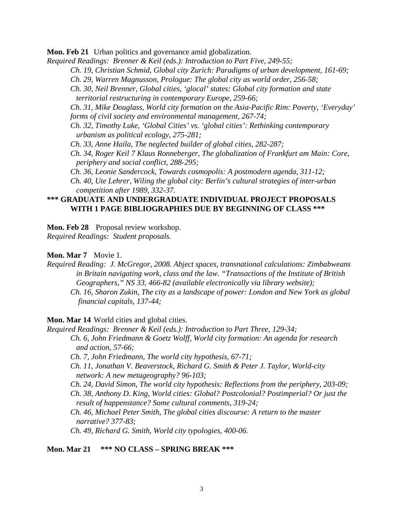**Mon. Feb 21** Urban politics and governance amid globalization.

*Required Readings: Brenner & Keil (eds.): Introduction to Part Five, 249-55;*

*Ch. 19, Christian Schmid, Global city Zurich: Paradigms of urban development, 161-69;*

*Ch. 29, Warren Magnusson, Prologue: The global city as world order, 256-58;*

*Ch. 30, Neil Brenner, Global cities, 'glocal' states: Global city formation and state territorial restructuring in contemporary Europe, 259-66;*

*Ch. 31, Mike Douglass, World city formation on the Asia-Pacific Rim: Poverty, 'Everyday' forms of civil society and environmental management, 267-74;*

*Ch. 32, Timothy Luke, 'Global Cities' vs. 'global cities': Rethinking contemporary urbanism as political ecology, 275-281;*

*Ch. 33, Anne Haila, The neglected builder of global cities, 282-287;*

*Ch. 34, Roger Keil 7 Klaus Ronneberger, The globalization of Frankfurt am Main: Core, periphery and social conflict, 288-295;*

*Ch. 36, Leonie Sandercock, Towards cosmopolis: A postmodern agenda, 311-12;*

*Ch. 40, Ute Lehrer, Wiling the global city: Berlin's cultural strategies of inter-urban competition after 1989, 332-37.*

#### **\*\*\* GRADUATE AND UNDERGRADUATE INDIVIDUAL PROJECT PROPOSALS WITH 1 PAGE BIBLIOGRAPHIES DUE BY BEGINNING OF CLASS \*\*\***

**Mon. Feb 28** Proposal review workshop.

*Required Readings: Student proposals.*

**Mon. Mar 7** Movie 1.

*Required Reading: J. McGregor, 2008. Abject spaces, transnational calculations: Zimbabweans in Britain navigating work, class and the law. "Transactions of the Institute of British Geographers," NS 33, 466-82 (available electronically via library website); Ch. 16, Sharon Zukin, The city as a landscape of power: London and New York as global financial capitals, 137-44;*

**Mon. Mar 14** World cities and global cities.

*Required Readings: Brenner & Keil (eds.): Introduction to Part Three, 129-34;*

*Ch. 6, John Friedmann & Goetz Wolff, World city formation: An agenda for research and action, 57-66;*

*Ch. 7, John Friedmann, The world city hypothesis, 67-71;*

*Ch. 11, Jonathan V. Beaverstock, Richard G. Smith & Peter J. Taylor, World-city network: A new metageography? 96-103;*

*Ch. 24, David Simon, The world city hypothesis: Reflections from the periphery, 203-09; Ch. 38, Anthony D. King, World cities: Global? Postcolonial? Postimperial? Or just the result of happenstance? Some cultural comments, 319-24;*

*Ch. 46, Michael Peter Smith, The global cities discourse: A return to the master narrative? 377-83;*

*Ch. 49, Richard G. Smith, World city typologies, 400-06.*

**Mon. Mar 21 \*\*\* NO CLASS – SPRING BREAK \*\*\***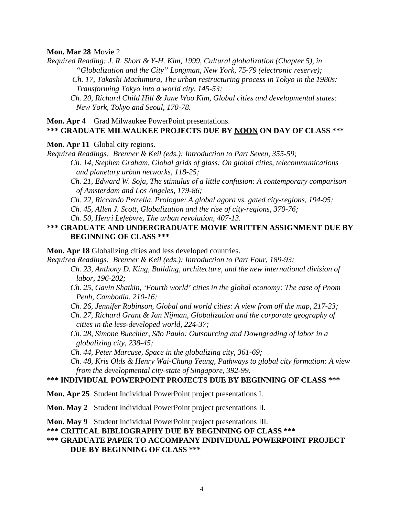**Mon. Mar 28** Movie 2.

*Required Reading: J. R. Short & Y-H. Kim, 1999, Cultural globalization (Chapter 5), in "Globalization and the City" Longman, New York, 75-79 (electronic reserve); Ch. 17, Takashi Machimura, The urban restructuring process in Tokyo in the 1980s: Transforming Tokyo into a world city, 145-53;*

*Ch. 20, Richard Child Hill & June Woo Kim, Global cities and developmental states: New York, Tokyo and Seoul, 170-78.*

#### **Mon. Apr 4** Grad Milwaukee PowerPoint presentations. **\*\*\* GRADUATE MILWAUKEE PROJECTS DUE BY NOON ON DAY OF CLASS \*\*\***

**Mon. Apr 11** Global city regions.

*Required Readings: Brenner & Keil (eds.): Introduction to Part Seven, 355-59; Ch. 14, Stephen Graham, Global grids of glass: On global cities, telecommunications and planetary urban networks, 118-25;*

*Ch. 21, Edward W. Soja, The stimulus of a little confusion: A contemporary comparison of Amsterdam and Los Angeles, 179-86;*

*Ch. 22, Riccardo Petrella, Prologue: A global agora vs. gated city-regions, 194-95;*

*Ch. 45, Allen J. Scott, Globalization and the rise of city-regions, 370-76;*

*Ch. 50, Henri Lefebvre, The urban revolution, 407-13.*

## **\*\*\* GRADUATE AND UNDERGRADUATE MOVIE WRITTEN ASSIGNMENT DUE BY BEGINNING OF CLASS \*\*\***

**Mon. Apr 18** Globalizing cities and less developed countries.

*Required Readings: Brenner & Keil (eds.): Introduction to Part Four, 189-93;*

*Ch. 23, Anthony D. King, Building, architecture, and the new international division of labor, 196-202;*

- *Ch. 25, Gavin Shatkin, 'Fourth world' cities in the global economy: The case of Pnom Penh, Cambodia, 210-16;*
- *Ch. 26, Jennifer Robinson, Global and world cities: A view from off the map, 217-23;*

*Ch. 27, Richard Grant & Jan Nijman, Globalization and the corporate geography of cities in the less-developed world, 224-37;*

*Ch. 28, Simone Buechler, São Paulo: Outsourcing and Downgrading of labor in a globalizing city, 238-45;*

*Ch. 44, Peter Marcuse, Space in the globalizing city, 361-69;*

*Ch. 48, Kris Olds & Henry Wai-Chung Yeung, Pathways to global city formation: A view from the developmental city-state of Singapore, 392-99.*

#### **\*\*\* INDIVIDUAL POWERPOINT PROJECTS DUE BY BEGINNING OF CLASS \*\*\***

**Mon. Apr 25** Student Individual PowerPoint project presentations I.

**Mon. May 2** Student Individual PowerPoint project presentations II.

**Mon. May 9** Student Individual PowerPoint project presentations III.

**\*\*\* CRITICAL BIBLIOGRAPHY DUE BY BEGINNING OF CLASS \*\*\***

#### **\*\*\* GRADUATE PAPER TO ACCOMPANY INDIVIDUAL POWERPOINT PROJECT DUE BY BEGINNING OF CLASS \*\*\***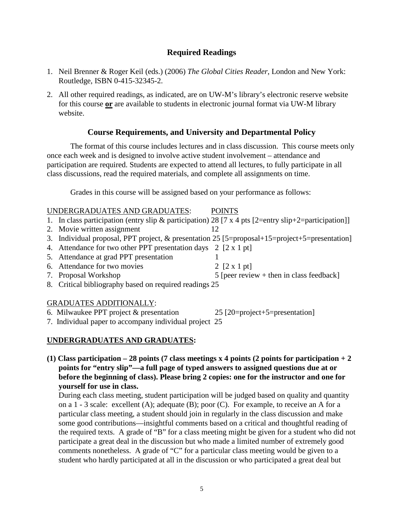# **Required Readings**

- 1. Neil Brenner & Roger Keil (eds.) (2006) *The Global Cities Reader*, London and New York: Routledge, ISBN 0-415-32345-2.
- 2. All other required readings, as indicated, are on UW-M's library's electronic reserve website for this course **or** are available to students in electronic journal format via UW-M library website.

# **Course Requirements, and University and Departmental Policy**

The format of this course includes lectures and in class discussion. This course meets only once each week and is designed to involve active student involvement – attendance and participation are required. Students are expected to attend all lectures, to fully participate in all class discussions, read the required materials, and complete all assignments on time.

Grades in this course will be assigned based on your performance as follows:

| UNDERGRADUATES AND GRADUATES:                                                                        | <b>POINTS</b>                              |
|------------------------------------------------------------------------------------------------------|--------------------------------------------|
| 1. In class participation (entry slip & participation) 28 [7 x 4 pts [2=entry slip+2=participation]] |                                            |
| 2. Movie written assignment                                                                          |                                            |
| 3. Individual proposal, PPT project, & presentation 25 [5=proposal+15=project+5=presentation]        |                                            |
| 4. Attendance for two other PPT presentation days 2 [2 x 1 pt]                                       |                                            |
| 5. Attendance at grad PPT presentation                                                               |                                            |
| 6. Attendance for two movies                                                                         | 2 $[2 \times 1]$ pt]                       |
| 7. Proposal Workshop                                                                                 | 5 [peer review $+$ then in class feedback] |
| 8. Critical bibliography based on required readings 25                                               |                                            |
|                                                                                                      |                                            |

#### GRADUATES ADDITIONALLY:

- 6. Milwaukee PPT project  $&$  presentation 25 [20=project+5=presentation]
- 7. Individual paper to accompany individual project 25

## **UNDERGRADUATES AND GRADUATES:**

**(1) Class participation – 28 points (7 class meetings x 4 points (2 points for participation + 2 points for "entry slip"—a full page of typed answers to assigned questions due at or before the beginning of class). Please bring 2 copies: one for the instructor and one for yourself for use in class.**

During each class meeting, student participation will be judged based on quality and quantity on a 1 - 3 scale: excellent (A); adequate (B); poor (C). For example, to receive an A for a particular class meeting, a student should join in regularly in the class discussion and make some good contributions—insightful comments based on a critical and thoughtful reading of the required texts. A grade of "B" for a class meeting might be given for a student who did not participate a great deal in the discussion but who made a limited number of extremely good comments nonetheless. A grade of "C" for a particular class meeting would be given to a student who hardly participated at all in the discussion or who participated a great deal but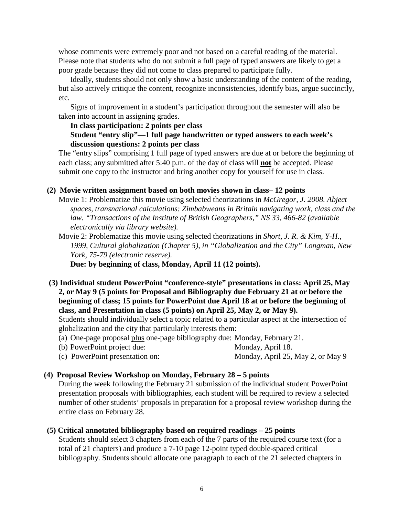whose comments were extremely poor and not based on a careful reading of the material. Please note that students who do not submit a full page of typed answers are likely to get a poor grade because they did not come to class prepared to participate fully.

Ideally, students should not only show a basic understanding of the content of the reading, but also actively critique the content, recognize inconsistencies, identify bias, argue succinctly, etc.

Signs of improvement in a student's participation throughout the semester will also be taken into account in assigning grades.

## **In class participation: 2 points per class Student "entry slip"—1 full page handwritten or typed answers to each week's**

## **discussion questions: 2 points per class**

The "entry slips" comprising 1 full page of typed answers are due at or before the beginning of each class; any submitted after 5:40 p.m. of the day of class will **not** be accepted. Please submit one copy to the instructor and bring another copy for yourself for use in class.

## **(2) Movie written assignment based on both movies shown in class– 12 points**

Movie 1: Problematize this movie using selected theorizations in *McGregor, J. 2008. Abject spaces, transnational calculations: Zimbabweans in Britain navigating work, class and the law. "Transactions of the Institute of British Geographers," NS 33, 466-82 (available electronically via library website).*

Movie 2: Problematize this movie using selected theorizations in *Short, J. R. & Kim, Y-H., 1999, Cultural globalization (Chapter 5), in "Globalization and the City" Longman, New York, 75-79 (electronic reserve).*

**Due: by beginning of class, Monday, April 11 (12 points).**

**(3) Individual student PowerPoint "conference-style" presentations in class: April 25, May 2, or May 9 (5 points for Proposal and Bibliography due February 21 at or before the beginning of class; 15 points for PowerPoint due April 18 at or before the beginning of class, and Presentation in class (5 points) on April 25, May 2, or May 9).**

Students should individually select a topic related to a particular aspect at the intersection of globalization and the city that particularly interests them:

- (a) One-page proposal plus one-page bibliography due: Monday, February 21.
- (b) PowerPoint project due: Monday, April 18.
- (c) PowerPoint presentation on: Monday, April 25, May 2, or May 9

## **(4) Proposal Review Workshop on Monday, February 28 – 5 points**

During the week following the February 21 submission of the individual student PowerPoint presentation proposals with bibliographies, each student will be required to review a selected number of other students' proposals in preparation for a proposal review workshop during the entire class on February 28.

## **(5) Critical annotated bibliography based on required readings – 25 points**

Students should select 3 chapters from each of the 7 parts of the required course text (for a total of 21 chapters) and produce a 7-10 page 12-point typed double-spaced critical bibliography. Students should allocate one paragraph to each of the 21 selected chapters in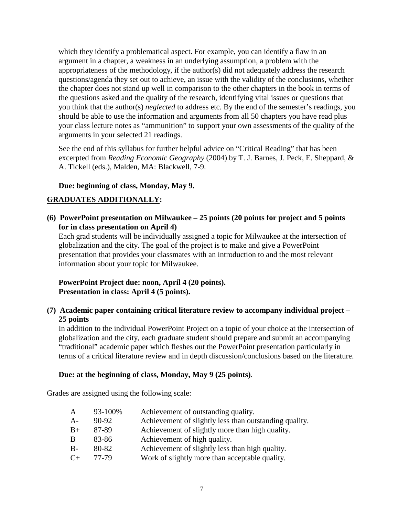which they identify a problematical aspect. For example, you can identify a flaw in an argument in a chapter, a weakness in an underlying assumption, a problem with the appropriateness of the methodology, if the author(s) did not adequately address the research questions/agenda they set out to achieve, an issue with the validity of the conclusions, whether the chapter does not stand up well in comparison to the other chapters in the book in terms of the questions asked and the quality of the research, identifying vital issues or questions that you think that the author(s) *neglected* to address etc. By the end of the semester's readings, you should be able to use the information and arguments from all 50 chapters you have read plus your class lecture notes as "ammunition" to support your own assessments of the quality of the arguments in your selected 21 readings.

See the end of this syllabus for further helpful advice on "Critical Reading" that has been excerpted from *Reading Economic Geography* (2004) by T. J. Barnes, J. Peck, E. Sheppard, & A. Tickell (eds.), Malden, MA: Blackwell, 7-9.

## **Due: beginning of class, Monday, May 9.**

# **GRADUATES ADDITIONALLY:**

**(6) PowerPoint presentation on Milwaukee – 25 points (20 points for project and 5 points for in class presentation on April 4)**

Each grad students will be individually assigned a topic for Milwaukee at the intersection of globalization and the city. The goal of the project is to make and give a PowerPoint presentation that provides your classmates with an introduction to and the most relevant information about your topic for Milwaukee.

# **PowerPoint Project due: noon, April 4 (20 points). Presentation in class: April 4 (5 points).**

**(7) Academic paper containing critical literature review to accompany individual project – 25 points**

In addition to the individual PowerPoint Project on a topic of your choice at the intersection of globalization and the city, each graduate student should prepare and submit an accompanying "traditional" academic paper which fleshes out the PowerPoint presentation particularly in terms of a critical literature review and in depth discussion/conclusions based on the literature.

## **Due: at the beginning of class, Monday, May 9 (25 points)**.

Grades are assigned using the following scale:

| A            | 93-100% | Achievement of outstanding quality.                    |
|--------------|---------|--------------------------------------------------------|
| $A -$        | $90-92$ | Achievement of slightly less than outstanding quality. |
| $B+$         | 87-89   | Achievement of slightly more than high quality.        |
| <sub>B</sub> | 83-86   | Achievement of high quality.                           |
| $B-$         | 80-82   | Achievement of slightly less than high quality.        |
| $C+$         | 77-79   | Work of slightly more than acceptable quality.         |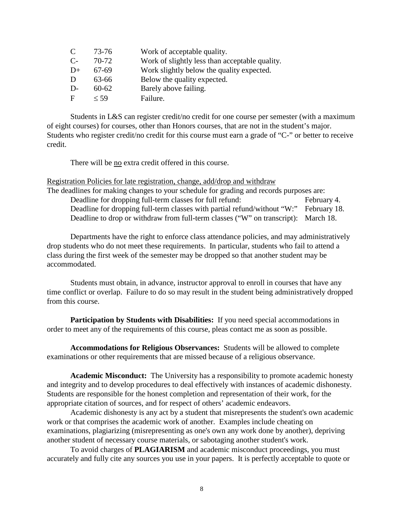| C     | 73-76     | Work of acceptable quality.                    |
|-------|-----------|------------------------------------------------|
| $C$ - | 70-72     | Work of slightly less than acceptable quality. |
| $D+$  | 67-69     | Work slightly below the quality expected.      |
| D     | 63-66     | Below the quality expected.                    |
| $D-$  | $60 - 62$ | Barely above failing.                          |
| F     | $<$ 59    | Failure.                                       |

Students in L&S can register credit/no credit for one course per semester (with a maximum of eight courses) for courses, other than Honors courses, that are not in the student's major. Students who register credit/no credit for this course must earn a grade of "C-" or better to receive credit.

There will be no extra credit offered in this course.

Registration Policies for late registration, change, add/drop and withdraw

The deadlines for making changes to your schedule for grading and records purposes are: Deadline for dropping full-term classes for full refund: February 4. Deadline for dropping full-term classes with partial refund/without "W:" February 18. Deadline to drop or withdraw from full-term classes ("W" on transcript): March 18.

Departments have the right to enforce class attendance policies, and may administratively drop students who do not meet these requirements. In particular, students who fail to attend a class during the first week of the semester may be dropped so that another student may be accommodated.

Students must obtain, in advance, instructor approval to enroll in courses that have any time conflict or overlap. Failure to do so may result in the student being administratively dropped from this course.

**Participation by Students with Disabilities:** If you need special accommodations in order to meet any of the requirements of this course, pleas contact me as soon as possible.

**Accommodations for Religious Observances:** Students will be allowed to complete examinations or other requirements that are missed because of a religious observance.

**Academic Misconduct:** The University has a responsibility to promote academic honesty and integrity and to develop procedures to deal effectively with instances of academic dishonesty. Students are responsible for the honest completion and representation of their work, for the appropriate citation of sources, and for respect of others' academic endeavors.

Academic dishonesty is any act by a student that misrepresents the student's own academic work or that comprises the academic work of another. Examples include cheating on examinations, plagiarizing (misrepresenting as one's own any work done by another), depriving another student of necessary course materials, or sabotaging another student's work.

To avoid charges of **PLAGIARISM** and academic misconduct proceedings, you must accurately and fully cite any sources you use in your papers. It is perfectly acceptable to quote or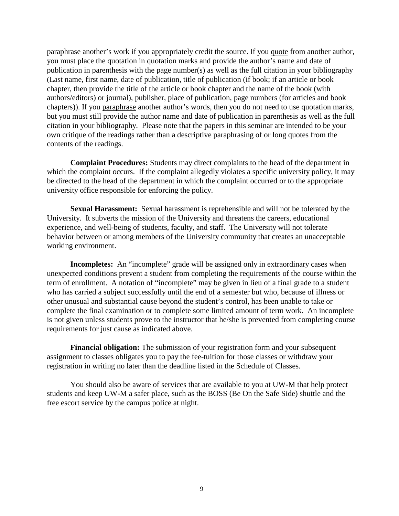paraphrase another's work if you appropriately credit the source. If you quote from another author, you must place the quotation in quotation marks and provide the author's name and date of publication in parenthesis with the page number(s) as well as the full citation in your bibliography (Last name, first name, date of publication, title of publication (if book; if an article or book chapter, then provide the title of the article or book chapter and the name of the book (with authors/editors) or journal), publisher, place of publication, page numbers (for articles and book chapters)). If you paraphrase another author's words, then you do not need to use quotation marks, but you must still provide the author name and date of publication in parenthesis as well as the full citation in your bibliography. Please note that the papers in this seminar are intended to be your own critique of the readings rather than a descriptive paraphrasing of or long quotes from the contents of the readings.

**Complaint Procedures:** Students may direct complaints to the head of the department in which the complaint occurs. If the complaint allegedly violates a specific university policy, it may be directed to the head of the department in which the complaint occurred or to the appropriate university office responsible for enforcing the policy.

**Sexual Harassment:** Sexual harassment is reprehensible and will not be tolerated by the University. It subverts the mission of the University and threatens the careers, educational experience, and well-being of students, faculty, and staff. The University will not tolerate behavior between or among members of the University community that creates an unacceptable working environment.

**Incompletes:** An "incomplete" grade will be assigned only in extraordinary cases when unexpected conditions prevent a student from completing the requirements of the course within the term of enrollment. A notation of "incomplete" may be given in lieu of a final grade to a student who has carried a subject successfully until the end of a semester but who, because of illness or other unusual and substantial cause beyond the student's control, has been unable to take or complete the final examination or to complete some limited amount of term work. An incomplete is not given unless students prove to the instructor that he/she is prevented from completing course requirements for just cause as indicated above.

**Financial obligation:** The submission of your registration form and your subsequent assignment to classes obligates you to pay the fee-tuition for those classes or withdraw your registration in writing no later than the deadline listed in the Schedule of Classes.

You should also be aware of services that are available to you at UW-M that help protect students and keep UW-M a safer place, such as the BOSS (Be On the Safe Side) shuttle and the free escort service by the campus police at night.